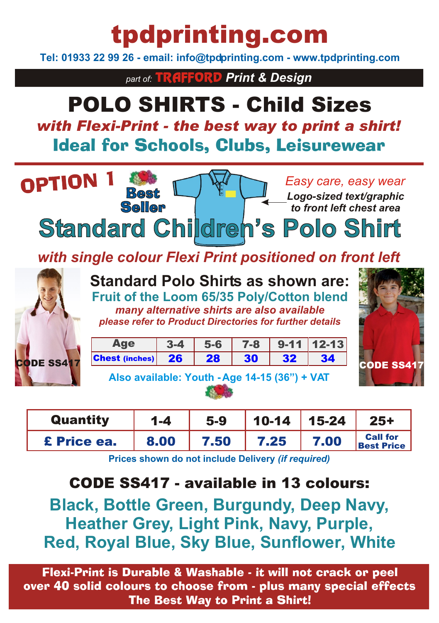# tpdprinting.com

**Tel: 01933 22 99 26 - email: info@tpdprinting.com - www.tpdprinting.com**

*part of:* TRAFFORD *Print & Design*

## POLO SHIRTS - Child Sizes *with Flexi-Print - the best way to print a shirt!* Ideal for Schools, Clubs, Leisurewear



| <b>Quantity</b> | $1 - 4$ | $5-9$ | $10-14$   15-24 |      | $25+$                                |
|-----------------|---------|-------|-----------------|------|--------------------------------------|
| £ Price ea.     | 8.00    | 7.50  | 7.25            | 7.00 | <b>Call for</b><br><b>Best Price</b> |

**Prices shown do not include Delivery** *(if required)*

### CODE SS417 - available in 13 colours:

**Black, Bottle Green, Burgundy, Deep Navy, Heather Grey, Light Pink, Navy, Purple, Red, Royal Blue, Sky Blue, Sunflower, White**

Flexi-Print is Durable & Washable - it will not crack or peel over 40 solid colours to choose from - plus many special effects The Best Way to Print a Shirt!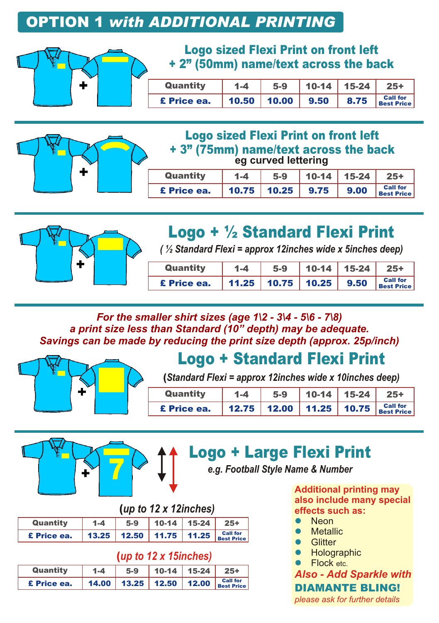### OPTION 1 *with ADDITIONAL PRINTING*



#### Logo sized Flexi Print on front left + 2" (50mm) name/text across the back

| Quantity    | $1 - 4$ | $5-9$              | $10-14$ 15-24 |      | $25+$                                |
|-------------|---------|--------------------|---------------|------|--------------------------------------|
| £ Price ea. |         | $10.50$ 10.00 9.50 |               | 8.75 | <b>Call for</b><br><b>Best Price</b> |



#### Logo sized Flexi Print on front left + 3" (75mm) name/text across the back **eg curved lettering**

| Quantity    | $1 - 4$ | $5-9$              | $10-14$ 15-24 |              | $25+$                                |
|-------------|---------|--------------------|---------------|--------------|--------------------------------------|
| £ Price ea. |         | $10.75$ 10.25 9.75 |               | $\vert$ 9.00 | <b>Call for</b><br><b>Best Price</b> |



## Logo + ½ Standard Flexi Print

*( ½ Standard Flexi = approx 12inches wide x 5inches deep)*

| Quantity    | $1 - 4$ | 5-9                          | $10-14$ 15-24 25+ |                                                   |
|-------------|---------|------------------------------|-------------------|---------------------------------------------------|
| £ Price ea. |         | 11.25   10.75   10.25   9.50 |                   | <b>Call for</b><br>$\vert$ Call for<br>Best Price |

*For the smaller shirt sizes (age 1\2 - 3\4 - 5\6 - 7\8) a print size less than Standard (10" depth) may be adequate. Savings can be made by reducing the print size depth (approx. 25p/inch)*



## Logo + Standard Flexi Print

(*Standard Flexi = approx 12inches wide x 10inches deep)*

| Quantity    | $1 - 4$ | $5-9$ | $10-14$ 15-24 25+ |                                                |
|-------------|---------|-------|-------------------|------------------------------------------------|
| £ Price ea. |         |       |                   | 12.75 12.00 11.25 10.75 $_{\text{Best Price}}$ |





## Logo + Large Flexi Print

*e.g. Football Style Name & Number*

|  |  | (up to 12 x 12inches) |  |
|--|--|-----------------------|--|
|--|--|-----------------------|--|

| Quantity    | 1-4 | $5-9$                              | $10-14$ 15-24 | $25 +$ |
|-------------|-----|------------------------------------|---------------|--------|
| £ Price ea. |     | 13.25 12.50 11.75 11.25 Best Price |               |        |

#### (*up to 12 x 15inches)*

|             |         | .                                  |                   |  |
|-------------|---------|------------------------------------|-------------------|--|
| Quantity    | $1 - 4$ | $5-9$                              | $10-14$ 15-24 25+ |  |
| £ Price ea. |         | 14.00 13.25 12.50 12.00 Best Price |                   |  |

**Additional printing may also include many special effects such as:**

- Neon  $\bullet$
- **Metallic**  $\bullet$
- **Glitter**  $\bullet$
- **Holographic**  $\bullet$
- Flock etc.  $\bullet$

*Also - Add Sparkle with* DIAMANTE BLING!

*please ask for further details*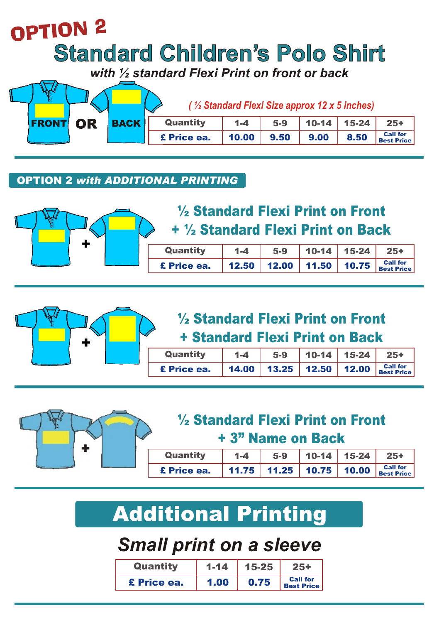# OPTION<sub>2</sub> **Standard Children's Polo Shirt** *with ½ standard Flexi Print on front or back*

|              |    |             |             |         | (1/2 Standard Flexi Size approx 12 x 5 inches) |           |       |                                      |
|--------------|----|-------------|-------------|---------|------------------------------------------------|-----------|-------|--------------------------------------|
| <b>FRONT</b> | OR | <b>BACK</b> | Quantity    | $1 - 4$ | $5-9$                                          | $10 - 14$ | 15-24 | $25+$                                |
|              |    |             | £ Price ea. | 10.00   | 9.50                                           | 9.00      | 8.50  | <b>Call for</b><br><b>Best Price</b> |

#### OPTION 2 *with ADDITIONAL PRINTING*



## ½ Standard Flexi Print on Front + ½ Standard Flexi Print on Back

| Quantity    | $1 - 4$ | $5-9$ | 10-14   15-24 | $25+$                                                 |
|-------------|---------|-------|---------------|-------------------------------------------------------|
| £ Price ea. |         |       |               | 12.50   12.00   11.50   10.75 $ _{\text{Best Price}}$ |



## ½ Standard Flexi Print on Front + Standard Flexi Print on Back

| Quantity    | $1 - 4$ | $5-9$ | $10-14$ 15-24 | $25+$                                                                    |
|-------------|---------|-------|---------------|--------------------------------------------------------------------------|
| £ Price ea. |         |       |               | 14.00   13.25   12.50   12.00   $_{\text{Best Price}}^{\text{Call for}}$ |



## ½ Standard Flexi Print on Front + 3" Name on Back

| Quantity    | $1 - 4$ | $5-9$ | $10-14$ 15-24 25+ |                                          |
|-------------|---------|-------|-------------------|------------------------------------------|
| £ Price ea. |         |       |                   | 11.75   11.25   10.75   10.00   Call for |

# **Additional Printing**

## *Small print on a sleeve*

| Quantity    | $1 - 14$ | 15-25 |                                      |
|-------------|----------|-------|--------------------------------------|
| £ Price ea. | 1.00     | 0.75  | <b>Call for</b><br><b>Best Price</b> |